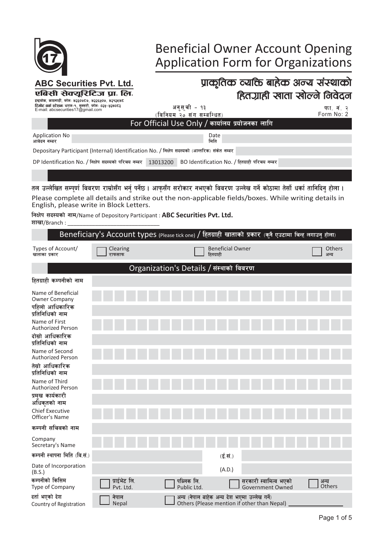

# **Beneficial Owner Account Opening<br>Application Form for Organizations**

| <b>ABC Securities Pvt. Ltd.</b>                                                                                                                 |                                                                                                         |                                 |                                         | प्राकृतिक व्यक्ति बाहेक अन्य संस्थाको                                                        |                |               |
|-------------------------------------------------------------------------------------------------------------------------------------------------|---------------------------------------------------------------------------------------------------------|---------------------------------|-----------------------------------------|----------------------------------------------------------------------------------------------|----------------|---------------|
| एबिसी सेक्यूरिटिज प्रा. लि.<br>इन्द्रचोक, काठमाडौं, फोनः ४२३०७ट७, ४२२६५०७, ४२१२४४ट                                                              |                                                                                                         |                                 |                                         | हितग्राही खाता खोल्ने निवेदन                                                                 |                |               |
| रिमोट वर्क स्टेशनः धरान-१, सुनसरी, फोनः ०२५-५२४०ट३<br>E-mail: abcsecurities17@gmail.com                                                         |                                                                                                         | अनुसूची - १३                    |                                         |                                                                                              |                | फा. नं. २     |
|                                                                                                                                                 |                                                                                                         | (विनियम २० संग सम्बन्धित)       |                                         | For Official Use Only / कार्यालय प्रयोजनका लागि                                              |                | Form No: 2    |
| <b>Application No</b><br>आवेदन नम्बर                                                                                                            |                                                                                                         |                                 | Date<br>मिति                            |                                                                                              |                |               |
| Depositary Participant (Internal) Identification No. / निक्षेप सदस्यको (आन्तरिक) संकेत नम्बर                                                    |                                                                                                         |                                 |                                         |                                                                                              |                |               |
| DP Identification No. / निक्षेप सदस्यको परिचय नम्बर $\,$ 13013200 $\,$                                                                          |                                                                                                         |                                 |                                         | BO Identification No. / हितग्राही परिचय नम्बर                                                |                |               |
|                                                                                                                                                 |                                                                                                         |                                 |                                         |                                                                                              |                |               |
| तल उल्लेखित सम्पूर्ण विवरण राम्रोसँग भर्नु पर्नेछ । आफुसँग सरोकार नभएको विवरण उल्लेख गर्ने कोठामा तेर्सो धर्का तानिदिनु होला ।                  |                                                                                                         |                                 |                                         |                                                                                              |                |               |
| Please complete all details and strike out the non-applicable fields/boxes. While writing details in<br>English, please write in Block Letters. |                                                                                                         |                                 |                                         |                                                                                              |                |               |
| निक्षेप सदस्यको नाम/Name of Depository Participant : <b>ABC Securities Pvt. Ltd.</b><br>शाखा/Branch :                                           |                                                                                                         |                                 |                                         |                                                                                              |                |               |
|                                                                                                                                                 | Beneficiary's Account types (Please tick one) / हितग्राही खाताको प्रकार (कुनै एउटामा चिन्ह लगाउनु होला) |                                 |                                         |                                                                                              |                |               |
| Types of Account/<br>खाताका प्रकार                                                                                                              | Clearing<br>राफसाफ                                                                                      |                                 | <b>Beneficial Owner</b><br>हितग्राही    |                                                                                              | अन्य           | <b>Others</b> |
|                                                                                                                                                 |                                                                                                         |                                 | Organization's Details / संस्थाको विवरण |                                                                                              |                |               |
| हितग्राही कम्पनीको नाम                                                                                                                          |                                                                                                         |                                 |                                         |                                                                                              |                |               |
| Name of Beneficial                                                                                                                              |                                                                                                         |                                 |                                         |                                                                                              |                |               |
| <b>Owner Company</b><br>पहिलो आधिकारिक<br>प्रतिनिधिको नाम                                                                                       |                                                                                                         |                                 |                                         |                                                                                              |                |               |
| Name of First<br><b>Authorized Person</b>                                                                                                       |                                                                                                         |                                 |                                         |                                                                                              |                |               |
| दोस्रो आधिकारिक<br>प्रतिनिधिको नाम                                                                                                              |                                                                                                         |                                 |                                         |                                                                                              |                |               |
| Name of Second<br><b>Authorized Person</b>                                                                                                      |                                                                                                         |                                 |                                         |                                                                                              |                |               |
| तेस्रो आधिकारिक<br>प्रतिनिधिको नाम                                                                                                              |                                                                                                         |                                 |                                         |                                                                                              |                |               |
| Name of Third<br><b>Authorized Person</b>                                                                                                       |                                                                                                         |                                 |                                         |                                                                                              |                |               |
| प्रमख कार्यकारी<br>अधिकृतको नाम                                                                                                                 |                                                                                                         |                                 |                                         |                                                                                              |                |               |
| <b>Chief Executive</b><br>Officer's Name                                                                                                        |                                                                                                         |                                 |                                         |                                                                                              |                |               |
| कम्पनी सचिवको नाम                                                                                                                               |                                                                                                         |                                 |                                         |                                                                                              |                |               |
| Company<br>Secretary's Name                                                                                                                     |                                                                                                         |                                 |                                         |                                                                                              |                |               |
| कम्पनी स्थापना मिति (वि.सं.)                                                                                                                    |                                                                                                         |                                 | $(\vec{\xi},\vec{H})$                   |                                                                                              |                |               |
| Date of Incorporation<br>(B.S.)                                                                                                                 |                                                                                                         |                                 | (A.D.)                                  |                                                                                              |                |               |
| कम्पनीको किसिम<br>Type of Company                                                                                                               | प्राईभेट लि.<br>Pvt. Ltd.                                                                               | पब्लिक लि.<br><b>Public Ltd</b> |                                         | सरकारी स्वामित्व भएको<br><b>Government Owned</b>                                             | अन्य<br>Others |               |
| दर्ता भएको देश<br>Country of Registration                                                                                                       | नेपाल<br>Nepal                                                                                          |                                 |                                         | अन्य (नेपाल बाहेक अन्य देश भएमा उल्लेख गर्ने)<br>Others (Please mention if other than Nepal) |                |               |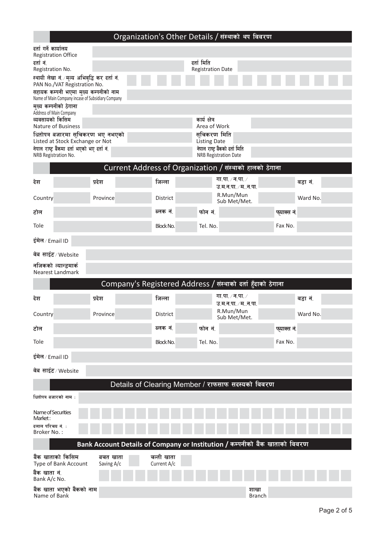### Organization's Other Details / संस्थाको थप विवरण

| दर्ता गर्ने कार्यालय<br><b>Registration Office</b>                                                                        |                                                                             |                           |                                                         |                       |            |          |  |
|---------------------------------------------------------------------------------------------------------------------------|-----------------------------------------------------------------------------|---------------------------|---------------------------------------------------------|-----------------------|------------|----------|--|
| दर्तानं.<br>Registration No.                                                                                              |                                                                             |                           | दर्ता मिति<br><b>Registration Date</b>                  |                       |            |          |  |
| स्थायी लेखा नं./मूल्य अभिवृद्धि कर दर्ता नं.                                                                              |                                                                             |                           |                                                         |                       |            |          |  |
| PAN No./VAT Registration No.<br>सहायक कम्पनी भएमा मुख्य कम्पनीको नाम<br>Name of Main Company incase of Subsidiary Company |                                                                             |                           |                                                         |                       |            |          |  |
| मुख्य कम्पनीको ठेगाना<br>Address of Main Company                                                                          |                                                                             |                           |                                                         |                       |            |          |  |
| व्यवसायको किसिम<br><b>Nature of Business</b>                                                                              |                                                                             |                           | कार्य क्षेत्र                                           |                       |            |          |  |
| धितोपत्र बजारमा सुचिकरण भए नभएको                                                                                          |                                                                             |                           | Area of Work<br>सुचिकरण मिति                            |                       |            |          |  |
| Listed at Stock Exchange or Not<br>नेपाल राष्ट्र बैंकमा दर्ता भएको भए दर्ता नं.                                           |                                                                             |                           | <b>Listing Date</b><br>नेपाल राष्ट्र बैंकको दर्ता मिति  |                       |            |          |  |
| NRB Registration No.                                                                                                      |                                                                             |                           | <b>NRB Registration Date</b>                            |                       |            |          |  |
|                                                                                                                           |                                                                             |                           | Current Address of Organization / संस्थाको हालको ठेगाना |                       |            |          |  |
| देश                                                                                                                       | प्रदेश                                                                      | जिल्ला                    | गा.पा. ∕ न.पा. ∕<br>उ.म.न.पा. ∕ म…न.पा.                 |                       |            | वडा नं.  |  |
| Country                                                                                                                   | Province                                                                    | District                  | R.Mun/Mun<br>Sub Met/Met.                               |                       |            | Ward No. |  |
| टोल                                                                                                                       |                                                                             | ब्लक नं.                  | फोन नं.                                                 |                       | फयाक्स नं. |          |  |
| Tole                                                                                                                      |                                                                             | Block No.                 | Tel. No.                                                |                       | Fax No.    |          |  |
| ईमेल⁄Email ID                                                                                                             |                                                                             |                           |                                                         |                       |            |          |  |
| वेब साईट⁄Website                                                                                                          |                                                                             |                           |                                                         |                       |            |          |  |
| नजिकको ल्यान्डमार्क<br><b>Nearest Landmark</b>                                                                            |                                                                             |                           |                                                         |                       |            |          |  |
|                                                                                                                           | Company's Registered Address / संस्थाको दर्ता हुँदाको ठेगाना                |                           |                                                         |                       |            |          |  |
| देश                                                                                                                       | प्रदेश                                                                      | जिल्ला                    | गा.पा. ∕ न.पा. ∕<br>उ.म.न.पा. / मन.पा.                  |                       |            | वडा नं.  |  |
| Country                                                                                                                   | Province                                                                    | <b>District</b>           | R.Mun/Mun<br>Sub Met/Met.                               |                       |            | Ward No. |  |
| टोल                                                                                                                       |                                                                             | ब्लक नं.                  | फोन नं.                                                 |                       | फयाक्स नं. |          |  |
| Tole                                                                                                                      |                                                                             | Block No.                 | Tel. No.                                                |                       | Fax No.    |          |  |
| इंमेल / Email ID                                                                                                          |                                                                             |                           |                                                         |                       |            |          |  |
| वेब साईट⁄Website                                                                                                          |                                                                             |                           |                                                         |                       |            |          |  |
|                                                                                                                           |                                                                             |                           | Details of Clearing Member / राफसाफ सदस्यको विवरण       |                       |            |          |  |
| धितोपत्र बजारको नाम :                                                                                                     |                                                                             |                           |                                                         |                       |            |          |  |
| Name of Securities<br>Market:                                                                                             |                                                                             |                           |                                                         |                       |            |          |  |
| दलाल परिचय नं. :<br>Broker No.:                                                                                           |                                                                             |                           |                                                         |                       |            |          |  |
|                                                                                                                           | Bank Account Details of Company or Institution / कम्पनीको बैंक खाताको विवरण |                           |                                                         |                       |            |          |  |
| बैंक खाताको किसिम<br>Type of Bank Account                                                                                 | बचत खाता<br>Saving A/c                                                      | चल्ती खाता<br>Current A/c |                                                         |                       |            |          |  |
| बैंक खाता नं.<br>Bank A/c No.                                                                                             |                                                                             |                           |                                                         |                       |            |          |  |
| बैंक खाता भएको बैंकको नाम<br>Name of Bank                                                                                 |                                                                             |                           |                                                         | शाखा<br><b>Branch</b> |            |          |  |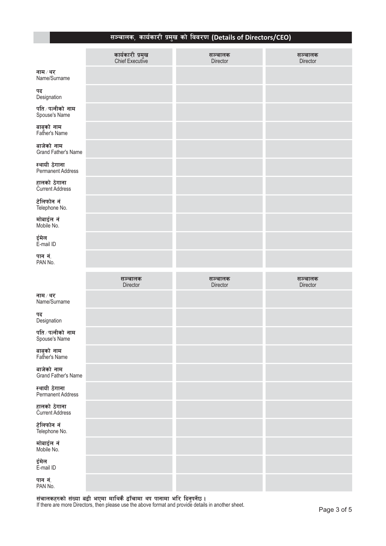## ्<br>सञ्चालक, कार्यकारी प्रमुख को विवरण (Details of Directors/CEO)

|                                     | कार्यकारी प्रमुख<br>Chief Executive | सञ्चालक<br>Director | सञ्चालक<br>Director |
|-------------------------------------|-------------------------------------|---------------------|---------------------|
| नाम ⁄ थर<br>Name/Surname            |                                     |                     |                     |
| पद<br>Designation                   |                                     |                     |                     |
| पति ∕ पत्नीको  नाम<br>Spouse's Name |                                     |                     |                     |
| बाबुको नाम<br>Father's Name         |                                     |                     |                     |
| बाजेको नाम<br>Grand Father's Name   |                                     |                     |                     |
| स्थायी ठेगाना<br>Permanent Address  |                                     |                     |                     |
| हालको ठेगाना<br>Current Address     |                                     |                     |                     |
| टेलिफोन नं<br>Telephone No.         |                                     |                     |                     |
| मोबाईल नं<br>Mobile No.             |                                     |                     |                     |
| ईमेल<br>E-mail ID                   |                                     |                     |                     |
| पान नं.<br>PAN No.                  |                                     |                     |                     |
|                                     |                                     |                     |                     |
|                                     | सञ्चालक                             | सञ्चालक             | सञ्चालक             |
| नाम ⁄ थर<br>Name/Surname            | Director                            | Director            | Director            |
| पद<br>Designation                   |                                     |                     |                     |
| पति ∕ पत्नीको  नाम<br>Spouse's Name |                                     |                     |                     |
| बाबुको नाम<br>Father's Name         |                                     |                     |                     |
| बाजेको नाम<br>Grand Father's Name   |                                     |                     |                     |
| स्थायी ठेगाना<br>Permanent Address  |                                     |                     |                     |
| हालको ठेगाना<br>Current Address     |                                     |                     |                     |
| टेलिफोन नं<br>Telephone No.         |                                     |                     |                     |
| मोबाईल नं<br>Mobile No.             |                                     |                     |                     |
| ईमेल<br>E-mail ID                   |                                     |                     |                     |

संचालकहरुको संख्या बढी भएमा माथिकै ढाँचामा थप पानामा भरि दिनुपर्नेछ।<br>If there are more Directors, then please use the above format and provide details in another sheet.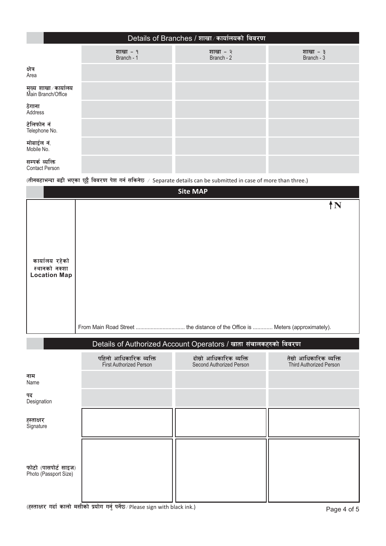|                                           | Details of Branches / शाखा ∕ कार्यालयको विवरण |                        |                          |  |  |  |  |  |  |
|-------------------------------------------|-----------------------------------------------|------------------------|--------------------------|--|--|--|--|--|--|
|                                           | शाखा - १<br>Branch - 1                        | शाखा - २<br>Branch - 2 | शाखा - ३<br>Branch - $3$ |  |  |  |  |  |  |
| क्षेत्र<br>Area                           |                                               |                        |                          |  |  |  |  |  |  |
| मुख्य शाखा∕कार्यालय<br>Main Branch/Office |                                               |                        |                          |  |  |  |  |  |  |
| ठेगाना<br>Address                         |                                               |                        |                          |  |  |  |  |  |  |
| टेलिफोन नं<br>Telephone No.               |                                               |                        |                          |  |  |  |  |  |  |
| मोबाईल नं.<br>Mobile No.                  |                                               |                        |                          |  |  |  |  |  |  |
| सम्पर्क व्यक्ति<br><b>Contact Person</b>  |                                               |                        |                          |  |  |  |  |  |  |

(तीनवटाभन्दा बढी भएका छुट्टै विवरण पेश गर्न सकिनेछ / Separate details can be submitted in case of more than three.)

| <b>Site MAP</b>                                        |                                                   |                                                                  |                                                    |  |  |  |  |
|--------------------------------------------------------|---------------------------------------------------|------------------------------------------------------------------|----------------------------------------------------|--|--|--|--|
| कार्यालय रहेको<br>स्थानको नक्शा<br><b>Location Map</b> |                                                   |                                                                  | ÎΝ                                                 |  |  |  |  |
|                                                        |                                                   |                                                                  |                                                    |  |  |  |  |
|                                                        |                                                   | Details of Authorized Account Operators / खाता संचालकहरुको विवरण |                                                    |  |  |  |  |
|                                                        | पहिलो आधिकारिक व्यक्ति<br>First Authorized Person | दोस्रो आधिकारिक व्यक्ति<br>Second Authorized Person              | तेस्रो आधिकारिक व्यक्ति<br>Third Authorized Person |  |  |  |  |
| नाम<br>Name                                            |                                                   |                                                                  |                                                    |  |  |  |  |
| पद<br>Designation                                      |                                                   |                                                                  |                                                    |  |  |  |  |
| हस्ताक्षर<br>Signature                                 |                                                   |                                                                  |                                                    |  |  |  |  |
| फोटो (पासपोर्ट साइज)<br>Photo (Passport Size)          |                                                   |                                                                  |                                                    |  |  |  |  |